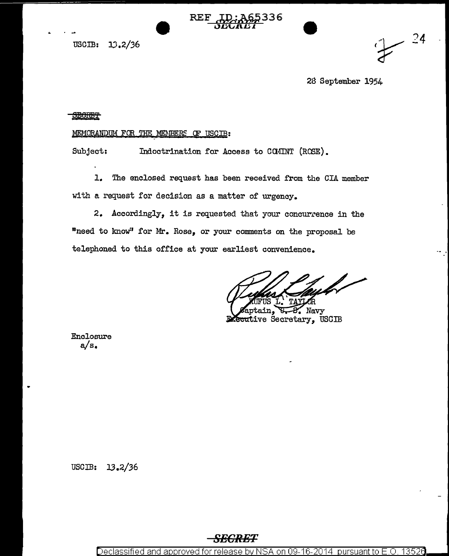

USCIB: 13.2/36

28 September 1954

 $-24$ 

## **SECRET**

## MEMORANDUM FOR THE MEMBERS OF USCIB:

Subject: Indoctrination for Access to COMINT (ROSE).

1. The enclosed request has been received from the CIA member with a request for decision as a matter of urgency.

 $2.$  Accordingly, it is requested that your concurrence in the "need to know" for Mr. Rose, or your comments on the proposal be telephoned to this office at your earliest convenience.

Navy **Recutive Secretary, USCIB** 

Enclosure  $a/s$ .

USCIB: 13.2/36

## *SECRET*

Declassified and approved for release by NSA on 09-16-2014  $\,$  pursuant to E  $\,$